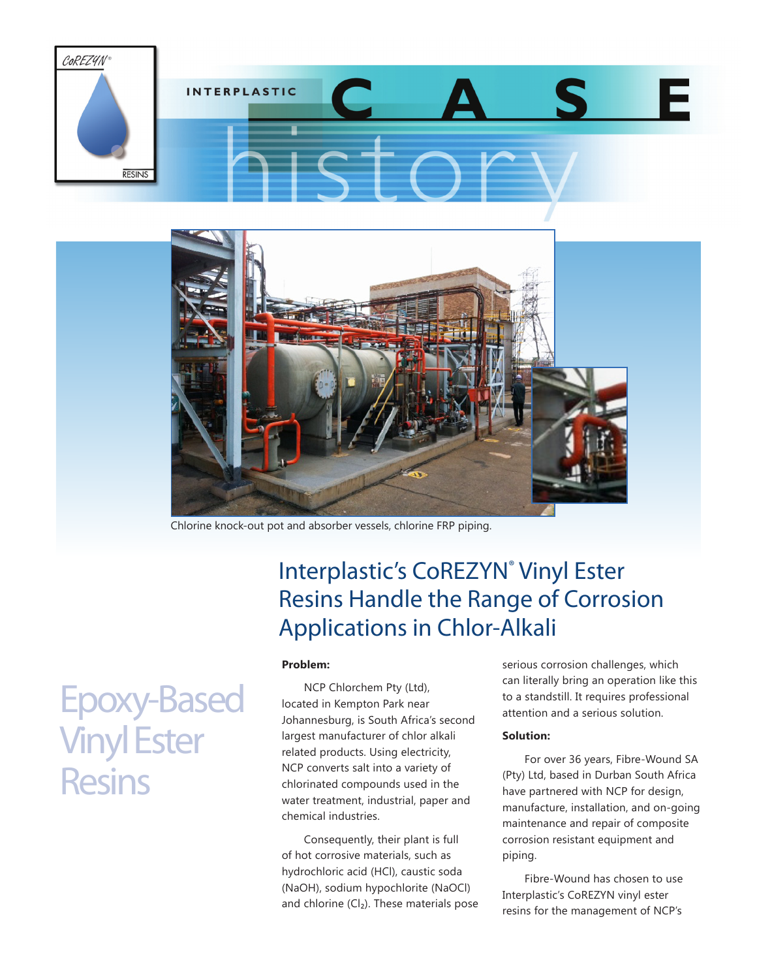



Chlorine knock-out pot and absorber vessels, chlorine FRP piping.

## Interplastic's CoREZYN® Vinyl Ester Resins Handle the Range of Corrosion Applications in Chlor-Alkali

### **Problem:**

NCP Chlorchem Pty (Ltd), located in Kempton Park near Johannesburg, is South Africa's second largest manufacturer of chlor alkali related products. Using electricity, NCP converts salt into a variety of chlorinated compounds used in the water treatment, industrial, paper and chemical industries.

Consequently, their plant is full of hot corrosive materials, such as hydrochloric acid (HCl), caustic soda (NaOH), sodium hypochlorite (NaOCl) and chlorine  $(Cl<sub>2</sub>)$ . These materials pose serious corrosion challenges, which can literally bring an operation like this to a standstill. It requires professional attention and a serious solution.

### **Solution:**

For over 36 years, Fibre-Wound SA (Pty) Ltd, based in Durban South Africa have partnered with NCP for design, manufacture, installation, and on-going maintenance and repair of composite corrosion resistant equipment and piping.

Fibre-Wound has chosen to use Interplastic's CoREZYN vinyl ester resins for the management of NCP's

# Epoxy-Based Vinyl Ester **Resins**